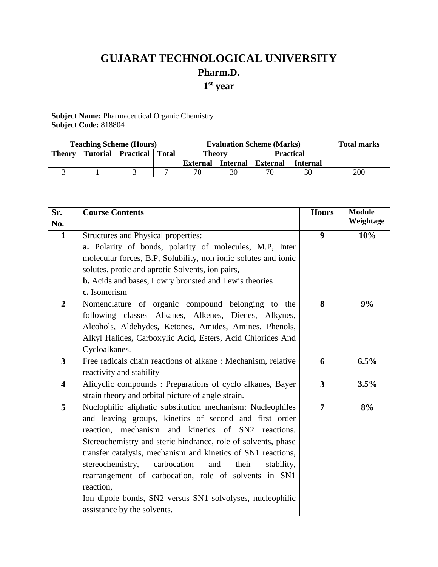# **GUJARAT TECHNOLOGICAL UNIVERSITY Pharm.D. 1 st year**

**Subject Name:** Pharmaceutical Organic Chemistry **Subject Code:** 818804

| <b>Teaching Scheme (Hours)</b> |  |                              |  | <b>Evaluation Scheme (Marks)</b> |                 |                  |                 | <b>Total marks</b> |
|--------------------------------|--|------------------------------|--|----------------------------------|-----------------|------------------|-----------------|--------------------|
| <b>Theory</b>                  |  | Tutorial   Practical   Total |  | <b>Theory</b>                    |                 | <b>Practical</b> |                 |                    |
|                                |  |                              |  | External                         | <b>Internal</b> | <b>External</b>  | <b>Internal</b> |                    |
|                                |  |                              |  | 70                               |                 | 70               |                 | 200                |

| Sr.                     | <b>Course Contents</b>                                         | <b>Hours</b>     | <b>Module</b> |
|-------------------------|----------------------------------------------------------------|------------------|---------------|
| No.                     |                                                                |                  | Weightage     |
| $\mathbf{1}$            | Structures and Physical properties:                            | $\boldsymbol{9}$ | 10%           |
|                         | a. Polarity of bonds, polarity of molecules, M.P, Inter        |                  |               |
|                         | molecular forces, B.P, Solubility, non ionic solutes and ionic |                  |               |
|                         | solutes, protic and aprotic Solvents, ion pairs,               |                  |               |
|                         | <b>b.</b> Acids and bases, Lowry bronsted and Lewis theories   |                  |               |
|                         | c. Isomerism                                                   |                  |               |
| $\overline{2}$          | Nomenclature of organic compound belonging to the              | 8                | 9%            |
|                         | following classes Alkanes, Alkenes, Dienes, Alkynes,           |                  |               |
|                         | Alcohols, Aldehydes, Ketones, Amides, Amines, Phenols,         |                  |               |
|                         | Alkyl Halides, Carboxylic Acid, Esters, Acid Chlorides And     |                  |               |
|                         | Cycloalkanes.                                                  |                  |               |
| $\overline{\mathbf{3}}$ | Free radicals chain reactions of alkane: Mechanism, relative   | 6                | 6.5%          |
|                         | reactivity and stability                                       |                  |               |
| $\overline{\mathbf{4}}$ | Alicyclic compounds: Preparations of cyclo alkanes, Bayer      | $\overline{3}$   | 3.5%          |
|                         | strain theory and orbital picture of angle strain.             |                  |               |
| 5                       | Nuclophilic aliphatic substitution mechanism: Nucleophiles     | $\overline{7}$   | 8%            |
|                         | and leaving groups, kinetics of second and first order         |                  |               |
|                         | reaction, mechanism and kinetics of SN2 reactions.             |                  |               |
|                         | Stereochemistry and steric hindrance, role of solvents, phase  |                  |               |
|                         | transfer catalysis, mechanism and kinetics of SN1 reactions,   |                  |               |
|                         | carbocation<br>stereochemistry,<br>and<br>their<br>stability,  |                  |               |
|                         | rearrangement of carbocation, role of solvents in SN1          |                  |               |
|                         | reaction,                                                      |                  |               |
|                         | Ion dipole bonds, SN2 versus SN1 solvolyses, nucleophilic      |                  |               |
|                         | assistance by the solvents.                                    |                  |               |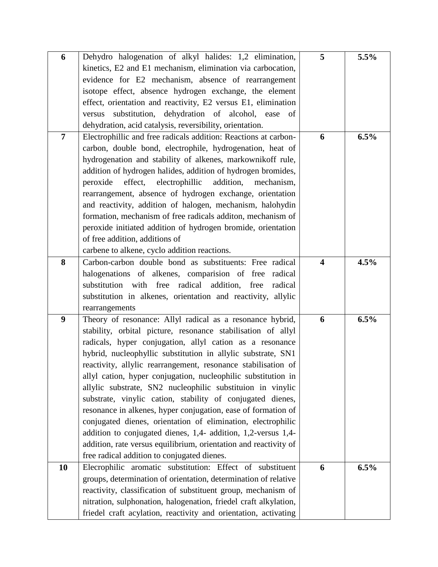| 6                | Dehydro halogenation of alkyl halides: 1,2 elimination,          | 5                       | 5.5% |
|------------------|------------------------------------------------------------------|-------------------------|------|
|                  | kinetics, E2 and E1 mechanism, elimination via carbocation,      |                         |      |
|                  | evidence for E2 mechanism, absence of rearrangement              |                         |      |
|                  | isotope effect, absence hydrogen exchange, the element           |                         |      |
|                  | effect, orientation and reactivity, E2 versus E1, elimination    |                         |      |
|                  | versus substitution, dehydration of alcohol, ease of             |                         |      |
|                  | dehydration, acid catalysis, reversibility, orientation.         |                         |      |
| $\overline{7}$   | Electrophillic and free radicals addition: Reactions at carbon-  | 6                       | 6.5% |
|                  | carbon, double bond, electrophile, hydrogenation, heat of        |                         |      |
|                  |                                                                  |                         |      |
|                  | hydrogenation and stability of alkenes, markownikoff rule,       |                         |      |
|                  | addition of hydrogen halides, addition of hydrogen bromides,     |                         |      |
|                  | effect, electrophillic<br>addition, mechanism,<br>peroxide       |                         |      |
|                  | rearrangement, absence of hydrogen exchange, orientation         |                         |      |
|                  | and reactivity, addition of halogen, mechanism, halohydin        |                         |      |
|                  | formation, mechanism of free radicals additon, mechanism of      |                         |      |
|                  | peroxide initiated addition of hydrogen bromide, orientation     |                         |      |
|                  | of free addition, additions of                                   |                         |      |
|                  | carbene to alkene, cyclo addition reactions.                     |                         |      |
| 8                | Carbon-carbon double bond as substituents: Free radical          | $\overline{\mathbf{4}}$ | 4.5% |
|                  | halogenations of alkenes, comparision of free<br>radical         |                         |      |
|                  | substitution with free radical addition, free<br>radical         |                         |      |
|                  | substitution in alkenes, orientation and reactivity, allylic     |                         |      |
|                  |                                                                  |                         |      |
|                  | rearrangements                                                   |                         |      |
| $\boldsymbol{9}$ | Theory of resonance: Allyl radical as a resonance hybrid,        | 6                       | 6.5% |
|                  | stability, orbital picture, resonance stabilisation of allyl     |                         |      |
|                  | radicals, hyper conjugation, allyl cation as a resonance         |                         |      |
|                  | hybrid, nucleophyllic substitution in allylic substrate, SN1     |                         |      |
|                  | reactivity, allylic rearrangement, resonance stabilisation of    |                         |      |
|                  | allyl cation, hyper conjugation, nucleophilic substitution in    |                         |      |
|                  | allylic substrate, SN2 nucleophilic substituion in vinylic       |                         |      |
|                  | substrate, vinylic cation, stability of conjugated dienes,       |                         |      |
|                  | resonance in alkenes, hyper conjugation, ease of formation of    |                         |      |
|                  | conjugated dienes, orientation of elimination, electrophilic     |                         |      |
|                  | addition to conjugated dienes, 1,4- addition, 1,2-versus 1,4-    |                         |      |
|                  | addition, rate versus equilibrium, orientation and reactivity of |                         |      |
|                  | free radical addition to conjugated dienes.                      |                         |      |
| 10               | Elecrophilic aromatic substitution: Effect of substituent        | 6                       | 6.5% |
|                  |                                                                  |                         |      |
|                  | groups, determination of orientation, determination of relative  |                         |      |
|                  | reactivity, classification of substituent group, mechanism of    |                         |      |
|                  | nitration, sulphonation, halogenation, friedel craft alkylation, |                         |      |
|                  | friedel craft acylation, reactivity and orientation, activating  |                         |      |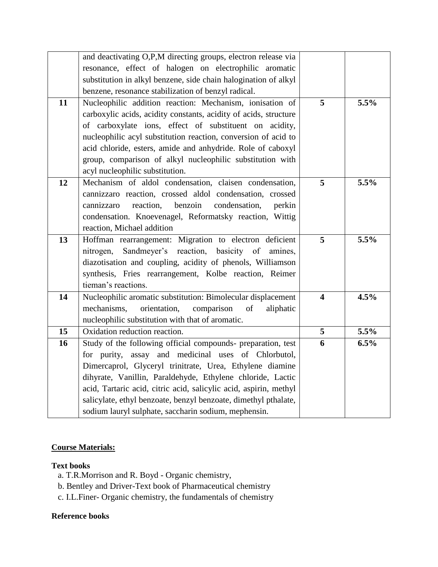|    | and deactivating O,P,M directing groups, electron release via     |                         |      |
|----|-------------------------------------------------------------------|-------------------------|------|
|    | resonance, effect of halogen on electrophilic aromatic            |                         |      |
|    | substitution in alkyl benzene, side chain halogination of alkyl   |                         |      |
|    | benzene, resonance stabilization of benzyl radical.               |                         |      |
| 11 | Nucleophilic addition reaction: Mechanism, ionisation of          | 5                       | 5.5% |
|    | carboxylic acids, acidity constants, acidity of acids, structure  |                         |      |
|    | of carboxylate ions, effect of substituent on acidity,            |                         |      |
|    | nucleophilic acyl substitution reaction, conversion of acid to    |                         |      |
|    | acid chloride, esters, amide and anhydride. Role of caboxyl       |                         |      |
|    | group, comparison of alkyl nucleophilic substitution with         |                         |      |
|    | acyl nucleophilic substitution.                                   |                         |      |
| 12 | Mechanism of aldol condensation, claisen condensation,            | 5                       | 5.5% |
|    | cannizzaro reaction, crossed aldol condensation, crossed          |                         |      |
|    | reaction,<br>benzoin<br>condensation,<br>cannizzaro<br>perkin     |                         |      |
|    | condensation. Knoevenagel, Reformatsky reaction, Wittig           |                         |      |
|    | reaction, Michael addition                                        |                         |      |
| 13 | Hoffman rearrangement: Migration to electron deficient            | 5                       | 5.5% |
|    | Sandmeyer's reaction, basicity of<br>nitrogen,<br>amines,         |                         |      |
|    | diazotisation and coupling, acidity of phenols, Williamson        |                         |      |
|    | synthesis, Fries rearrangement, Kolbe reaction, Reimer            |                         |      |
|    | tieman's reactions.                                               |                         |      |
| 14 | Nucleophilic aromatic substitution: Bimolecular displacement      | $\overline{\mathbf{4}}$ | 4.5% |
|    | mechanisms,<br>orientation,<br>comparison<br>of<br>aliphatic      |                         |      |
|    | nucleophilic substitution with that of aromatic.                  |                         |      |
| 15 | Oxidation reduction reaction.                                     | 5                       | 5.5% |
| 16 | Study of the following official compounds- preparation, test      | 6                       | 6.5% |
|    | for purity, assay and medicinal uses of Chlorbutol,               |                         |      |
|    | Dimercaprol, Glyceryl trinitrate, Urea, Ethylene diamine          |                         |      |
|    | dihyrate, Vanillin, Paraldehyde, Ethylene chloride, Lactic        |                         |      |
|    | acid, Tartaric acid, citric acid, salicylic acid, aspirin, methyl |                         |      |
|    | salicylate, ethyl benzoate, benzyl benzoate, dimethyl pthalate,   |                         |      |
|    | sodium lauryl sulphate, saccharin sodium, mephensin.              |                         |      |

# **Course Materials:**

## **Text books**

- a. T.R.Morrison and R. Boyd Organic chemistry,
- b. Bentley and Driver-Text book of Pharmaceutical chemistry
- c. I.L.Finer- Organic chemistry, the fundamentals of chemistry

## **Reference books**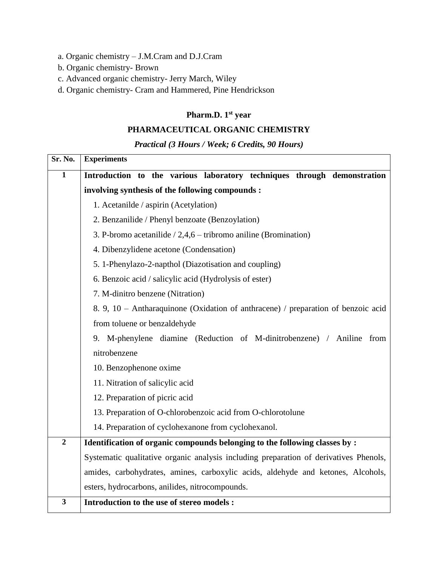- a. Organic chemistry J.M.Cram and D.J.Cram
- b. Organic chemistry- Brown
- c. Advanced organic chemistry- Jerry March, Wiley
- d. Organic chemistry- Cram and Hammered, Pine Hendrickson

#### **Pharm.D. 1 st year**

#### **PHARMACEUTICAL ORGANIC CHEMISTRY**

*Practical (3 Hours / Week; 6 Credits, 90 Hours)*

| Sr. No.        | <b>Experiments</b>                                                                    |  |  |  |  |  |
|----------------|---------------------------------------------------------------------------------------|--|--|--|--|--|
| $\mathbf{1}$   | Introduction to the various laboratory techniques through demonstration               |  |  |  |  |  |
|                | involving synthesis of the following compounds :                                      |  |  |  |  |  |
|                | 1. Acetanilde / aspirin (Acetylation)                                                 |  |  |  |  |  |
|                | 2. Benzanilide / Phenyl benzoate (Benzoylation)                                       |  |  |  |  |  |
|                | 3. P-bromo acetanilide $/ 2,4,6$ – tribromo aniline (Bromination)                     |  |  |  |  |  |
|                | 4. Dibenzylidene acetone (Condensation)                                               |  |  |  |  |  |
|                | 5. 1-Phenylazo-2-napthol (Diazotisation and coupling)                                 |  |  |  |  |  |
|                | 6. Benzoic acid / salicylic acid (Hydrolysis of ester)                                |  |  |  |  |  |
|                | 7. M-dinitro benzene (Nitration)                                                      |  |  |  |  |  |
|                | 8. 9, 10 - Antharaquinone (Oxidation of anthracene) / preparation of benzoic acid     |  |  |  |  |  |
|                | from toluene or benzaldehyde                                                          |  |  |  |  |  |
|                | 9. M-phenylene diamine (Reduction of M-dinitrobenzene) / Aniline from                 |  |  |  |  |  |
|                | nitrobenzene                                                                          |  |  |  |  |  |
|                | 10. Benzophenone oxime                                                                |  |  |  |  |  |
|                | 11. Nitration of salicylic acid                                                       |  |  |  |  |  |
|                | 12. Preparation of picric acid                                                        |  |  |  |  |  |
|                | 13. Preparation of O-chlorobenzoic acid from O-chlorotolune                           |  |  |  |  |  |
|                | 14. Preparation of cyclohexanone from cyclohexanol.                                   |  |  |  |  |  |
| $\overline{2}$ | Identification of organic compounds belonging to the following classes by :           |  |  |  |  |  |
|                | Systematic qualitative organic analysis including preparation of derivatives Phenols, |  |  |  |  |  |
|                | amides, carbohydrates, amines, carboxylic acids, aldehyde and ketones, Alcohols,      |  |  |  |  |  |
|                | esters, hydrocarbons, anilides, nitrocompounds.                                       |  |  |  |  |  |
| 3              | <b>Introduction to the use of stereo models:</b>                                      |  |  |  |  |  |